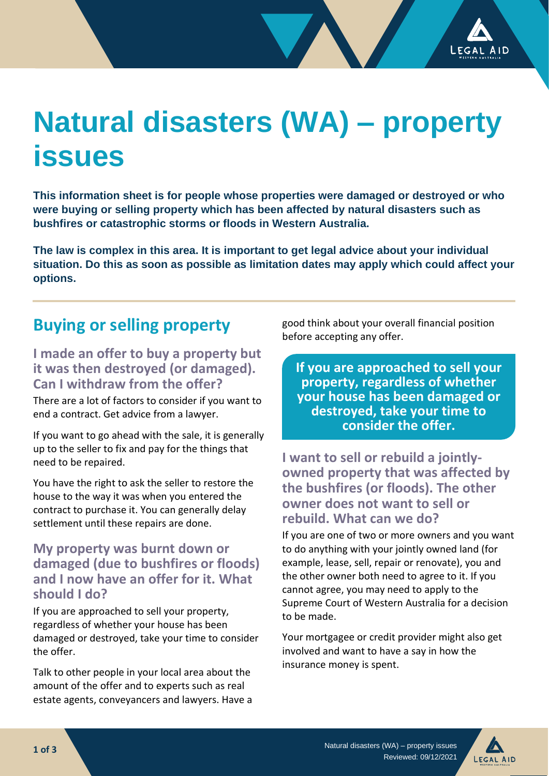# **Natural disasters (WA) – property issues**

**This information sheet is for people whose properties were damaged or destroyed or who were buying or selling property which has been affected by natural disasters such as bushfires or catastrophic storms or floods in Western Australia.** 

**The law is complex in this area. It is important to get legal advice about your individual situation. Do this as soon as possible as limitation dates may apply which could affect your options.**

# **Buying or selling property**

**I made an offer to buy a property but it was then destroyed (or damaged). Can I withdraw from the offer?**

There are a lot of factors to consider if you want to end a contract. Get advice from a lawyer.

If you want to go ahead with the sale, it is generally up to the seller to fix and pay for the things that need to be repaired.

You have the right to ask the seller to restore the house to the way it was when you entered the contract to purchase it. You can generally delay settlement until these repairs are done.

### **My property was burnt down or damaged (due to bushfires or floods) and I now have an offer for it. What should I do?**

If you are approached to sell your property, regardless of whether your house has been damaged or destroyed, take your time to consider the offer.

Talk to other people in your local area about the amount of the offer and to experts such as real estate agents, conveyancers and lawyers. Have a good think about your overall financial position before accepting any offer.

**If you are approached to sell your property, regardless of whether your house has been damaged or destroyed, take your time to consider the offer.**

**I want to sell or rebuild a jointlyowned property that was affected by the bushfires (or floods). The other owner does not want to sell or rebuild. What can we do?**

If you are one of two or more owners and you want to do anything with your jointly owned land (for example, lease, sell, repair or renovate), you and the other owner both need to agree to it. If you cannot agree, you may need to apply to the Supreme Court of Western Australia for a decision to be made.

Your mortgagee or credit provider might also get involved and want to have a say in how the insurance money is spent.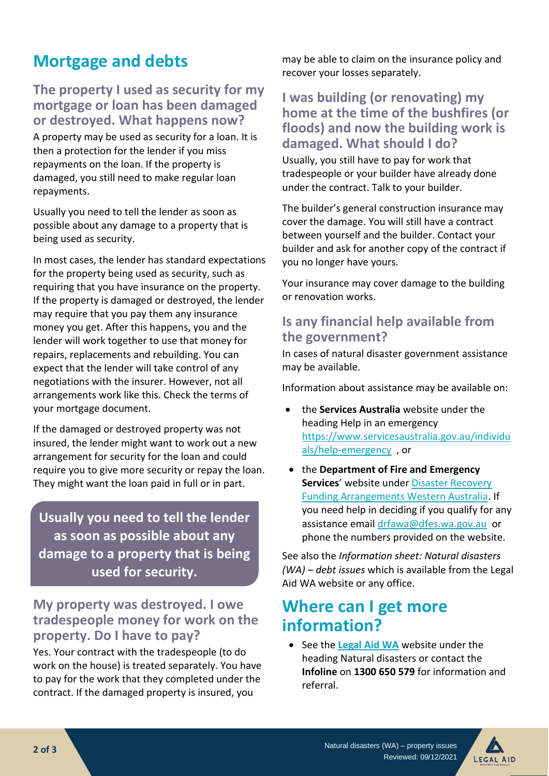# **Mortgage and debts**

## **The property I used as security for my mortgage or loan has been damaged or destroyed. What happens now?**

A property may be used as security for a loan. It is then a protection for the lender if you miss repayments on the loan. If the property is damaged, you still need to make regular loan repayments.

Usually you need to tell the lender as soon as possible about any damage to a property that is being used as security.

In most cases, the lender has standard expectations for the property being used as security, such as requiring that you have insurance on the property. If the property is damaged or destroyed, the lender may require that you pay them any insurance money you get. After this happens, you and the lender will work together to use that money for repairs, replacements and rebuilding. You can expect that the lender will take control of any negotiations with the insurer. However, not all arrangements work like this. Check the terms of your mortgage document.

If the damaged or destroyed property was not insured, the lender might want to work out a new arrangement for security for the loan and could require you to give more security or repay the loan. They might want the loan paid in full or in part.

**Usually you need to tell the lender as soon as possible about any damage to a property that is being used for security.**

## **My property was destroyed. I owe tradespeople money for work on the property. Do I have to pay?**

Yes. Your contract with the tradespeople (to do work on the house) is treated separately. You have to pay for the work that they completed under the contract. If the damaged property is insured, you

may be able to claim on the insurance policy and recover your losses separately.

## **I was building (or renovating) my home at the time of the bushfires (or floods) and now the building work is damaged. What should I do?**

Usually, you still have to pay for work that tradespeople or your builder have already done under the contract. Talk to your builder.

The builder's general construction insurance may cover the damage. You will still have a contract between yourself and the builder. Contact your builder and ask for another copy of the contract if you no longer have yours.

Your insurance may cover damage to the building or renovation works.

## **Is any financial help available from the government?**

In cases of natural disaster government assistance may be available.

Information about assistance may be available on:

- the **Services Australia** website under the heading Help in an emergency [https://www.servicesaustralia.gov.au/individu](https://www.servicesaustralia.gov.au/individuals/help-emergency) [als/help-emergency](https://www.servicesaustralia.gov.au/individuals/help-emergency) , or
- the **Department of Fire and Emergency Services**' website under [Disaster Recovery](https://www.dfes.wa.gov.au/recovery/Pages/DRFA-WA.aspx)  [Funding Arrangements Western Australia.](https://www.dfes.wa.gov.au/recovery/Pages/DRFA-WA.aspx) If you need help in deciding if you qualify for any assistance email [drfawa@dfes.wa.gov.au](mailto:drfawa@dfes.wa.gov.au) or phone the numbers provided on the website.

See also the *Information sheet: Natural disasters (WA) – debt issues* which is available from the Legal Aid WA website or any office.

# **Where can I get more information?**

• See the **[Legal Aid WA](http://www.legalaid.wa.gov.au/)** website under the heading Natural disasters or contact the **Infoline** on **1300 650 579** for information and referral.